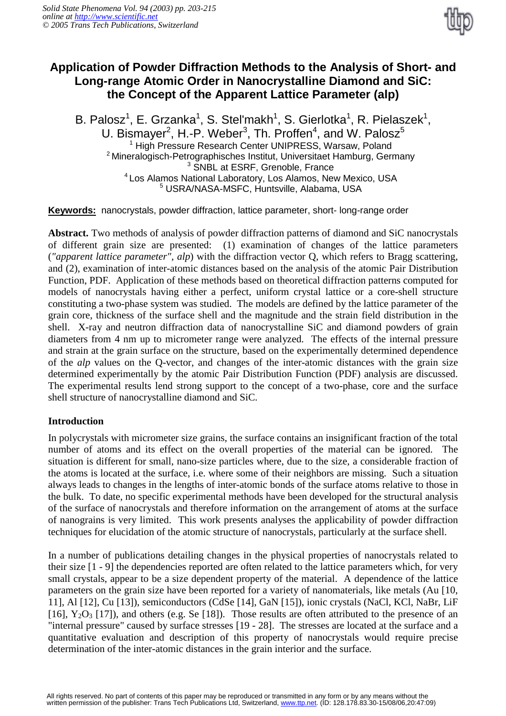

# **Application of Powder Diffraction Methods to the Analysis of Short- and Long-range Atomic Order in Nanocrystalline Diamond and SiC: the Concept of the Apparent Lattice Parameter (alp)**

B. Palosz<sup>1</sup>, E. Grzanka<sup>1</sup>, S. Stel'makh<sup>1</sup>, S. Gierlotka<sup>1</sup>, R. Pielaszek<sup>1</sup>, U. Bismayer<sup>2</sup>, H.-P. Weber<sup>3</sup>, Th. Proffen<sup>4</sup>, and W. Palosz<sup>5</sup> <sup>1</sup> High Pressure Research Center UNIPRESS, Warsaw, Poland <sup>2</sup> Mineralogisch-Petrographisches Institut, Universitaet Hamburg, Germany 3 SNBL at ESRF, Grenoble, France <sup>4</sup>Los Alamos National Laboratory, Los Alamos, New Mexico, USA 5 USRA/NASA-MSFC, Huntsville, Alabama, USA

**Keywords:** nanocrystals, powder diffraction, lattice parameter, short- long-range order

**Abstract.** Two methods of analysis of powder diffraction patterns of diamond and SiC nanocrystals of different grain size are presented: (1) examination of changes of the lattice parameters (*"apparent lattice parameter", alp*) with the diffraction vector Q, which refers to Bragg scattering, and (2), examination of inter-atomic distances based on the analysis of the atomic Pair Distribution Function, PDF. Application of these methods based on theoretical diffraction patterns computed for models of nanocrystals having either a perfect, uniform crystal lattice or a core-shell structure constituting a two-phase system was studied. The models are defined by the lattice parameter of the grain core, thickness of the surface shell and the magnitude and the strain field distribution in the shell. X-ray and neutron diffraction data of nanocrystalline SiC and diamond powders of grain diameters from 4 nm up to micrometer range were analyzed. The effects of the internal pressure and strain at the grain surface on the structure, based on the experimentally determined dependence of the *alp* values on the Q-vector, and changes of the inter-atomic distances with the grain size determined experimentally by the atomic Pair Distribution Function (PDF) analysis are discussed. The experimental results lend strong support to the concept of a two-phase, core and the surface shell structure of nanocrystalline diamond and SiC.

## **Introduction**

In polycrystals with micrometer size grains, the surface contains an insignificant fraction of the total number of atoms and its effect on the overall properties of the material can be ignored. The situation is different for small, nano-size particles where, due to the size, a considerable fraction of the atoms is located at the surface, i.e. where some of their neighbors are missing. Such a situation always leads to changes in the lengths of inter-atomic bonds of the surface atoms relative to those in the bulk. To date, no specific experimental methods have been developed for the structural analysis of the surface of nanocrystals and therefore information on the arrangement of atoms at the surface of nanograins is very limited. This work presents analyses the applicability of powder diffraction techniques for elucidation of the atomic structure of nanocrystals, particularly at the surface shell.

In a number of publications detailing changes in the physical properties of nanocrystals related to their size [1 - 9] the dependencies reported are often related to the lattice parameters which, for very small crystals, appear to be a size dependent property of the material. A dependence of the lattice parameters on the grain size have been reported for a variety of nanomaterials, like metals (Au [10, 11], Al [12], Cu [13]), semiconductors (CdSe [14], GaN [15]), ionic crystals (NaCl, KCl, NaBr, LiF [16],  $Y_2O_3$  [17]), and others (e.g. Se [18]). Those results are often attributed to the presence of an "internal pressure" caused by surface stresses [19 - 28]. The stresses are located at the surface and a quantitative evaluation and description of this property of nanocrystals would require precise determination of the inter-atomic distances in the grain interior and the surface.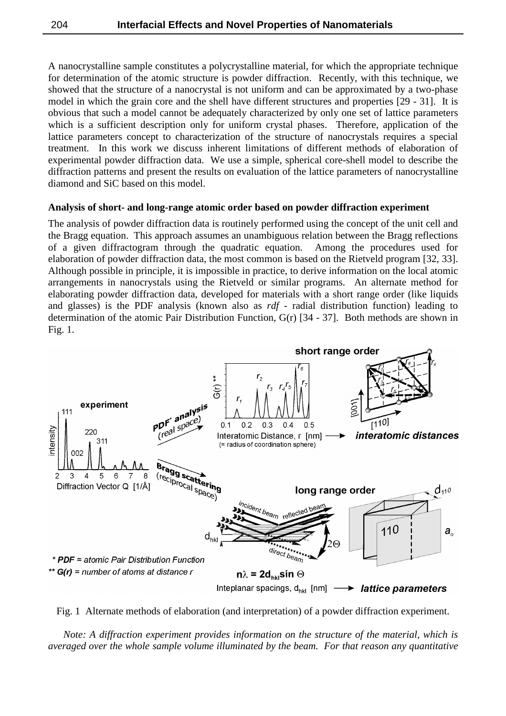A nanocrystalline sample constitutes a polycrystalline material, for which the appropriate technique for determination of the atomic structure is powder diffraction. Recently, with this technique, we showed that the structure of a nanocrystal is not uniform and can be approximated by a two-phase model in which the grain core and the shell have different structures and properties [29 - 31]. It is obvious that such a model cannot be adequately characterized by only one set of lattice parameters which is a sufficient description only for uniform crystal phases. Therefore, application of the lattice parameters concept to characterization of the structure of nanocrystals requires a special treatment. In this work we discuss inherent limitations of different methods of elaboration of experimental powder diffraction data. We use a simple, spherical core-shell model to describe the diffraction patterns and present the results on evaluation of the lattice parameters of nanocrystalline diamond and SiC based on this model.

## **Analysis of short- and long-range atomic order based on powder diffraction experiment**

The analysis of powder diffraction data is routinely performed using the concept of the unit cell and the Bragg equation. This approach assumes an unambiguous relation between the Bragg reflections of a given diffractogram through the quadratic equation. Among the procedures used for elaboration of powder diffraction data, the most common is based on the Rietveld program [32, 33]. Although possible in principle, it is impossible in practice, to derive information on the local atomic arrangements in nanocrystals using the Rietveld or similar programs. An alternate method for elaborating powder diffraction data, developed for materials with a short range order (like liquids and glasses) is the PDF analysis (known also as *rdf* - radial distribution function) leading to determination of the atomic Pair Distribution Function, G(r) [34 - 37]. Both methods are shown in Fig. 1.



Fig. 1 Alternate methods of elaboration (and interpretation) of a powder diffraction experiment.

*Note: A diffraction experiment provides information on the structure of the material, which is averaged over the whole sample volume illuminated by the beam. For that reason any quantitative*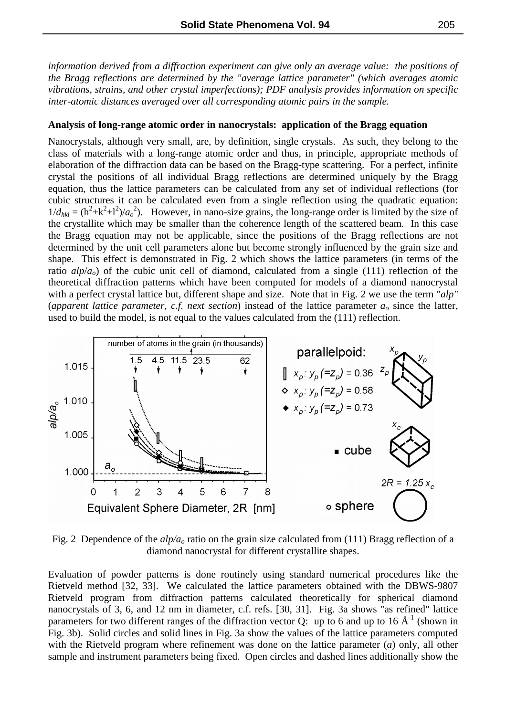*information derived from a diffraction experiment can give only an average value: the positions of the Bragg reflections are determined by the "average lattice parameter" (which averages atomic vibrations, strains, and other crystal imperfections); PDF analysis provides information on specific inter-atomic distances averaged over all corresponding atomic pairs in the sample.* 

### **Analysis of long-range atomic order in nanocrystals: application of the Bragg equation**

Nanocrystals, although very small, are, by definition, single crystals. As such, they belong to the class of materials with a long-range atomic order and thus, in principle, appropriate methods of elaboration of the diffraction data can be based on the Bragg-type scattering. For a perfect, infinite crystal the positions of all individual Bragg reflections are determined uniquely by the Bragg equation, thus the lattice parameters can be calculated from any set of individual reflections (for cubic structures it can be calculated even from a single reflection using the quadratic equation:  $1/d_{hkl} = (h^2 + k^2 + l^2)/a_o^2$ . However, in nano-size grains, the long-range order is limited by the size of the crystallite which may be smaller than the coherence length of the scattered beam. In this case the Bragg equation may not be applicable, since the positions of the Bragg reflections are not determined by the unit cell parameters alone but become strongly influenced by the grain size and shape. This effect is demonstrated in Fig. 2 which shows the lattice parameters (in terms of the ratio  $a/p/a<sub>o</sub>$ ) of the cubic unit cell of diamond, calculated from a single (111) reflection of the theoretical diffraction patterns which have been computed for models of a diamond nanocrystal with a perfect crystal lattice but, different shape and size. Note that in Fig. 2 we use the term "*alp"* (*apparent lattice parameter, c.f. next section*) instead of the lattice parameter *ao* since the latter, used to build the model, is not equal to the values calculated from the (111) reflection.



Fig. 2 Dependence of the  $a/p/a<sub>o</sub>$  ratio on the grain size calculated from (111) Bragg reflection of a diamond nanocrystal for different crystallite shapes.

Evaluation of powder patterns is done routinely using standard numerical procedures like the Rietveld method [32, 33]. We calculated the lattice parameters obtained with the DBWS-9807 Rietveld program from diffraction patterns calculated theoretically for spherical diamond nanocrystals of 3, 6, and 12 nm in diameter, c.f. refs. [30, 31]. Fig. 3a shows "as refined" lattice parameters for two different ranges of the diffraction vector Q: up to 6 and up to 16  $\AA$ <sup>-1</sup> (shown in Fig. 3b). Solid circles and solid lines in Fig. 3a show the values of the lattice parameters computed with the Rietveld program where refinement was done on the lattice parameter (*a*) only, all other sample and instrument parameters being fixed. Open circles and dashed lines additionally show the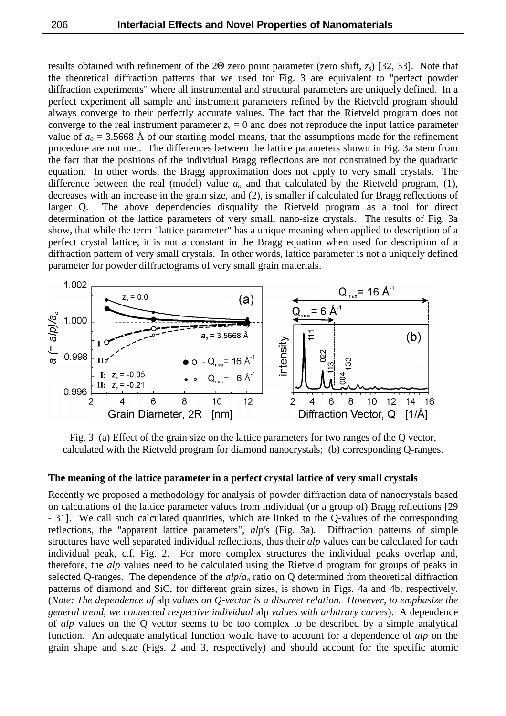results obtained with refinement of the 2 zero point parameter (zero shift, *zs*) [32, 33]. Note that the theoretical diffraction patterns that we used for Fig. 3 are equivalent to "perfect powder diffraction experiments" where all instrumental and structural parameters are uniquely defined. In a perfect experiment all sample and instrument parameters refined by the Rietveld program should always converge to their perfectly accurate values. The fact that the Rietveld program does not converge to the real instrument parameter  $z_s = 0$  and does not reproduce the input lattice parameter value of  $a_0$  = 3.5668 Å of our starting model means, that the assumptions made for the refinement procedure are not met. The differences between the lattice parameters shown in Fig. 3a stem from the fact that the positions of the individual Bragg reflections are not constrained by the quadratic equation. In other words, the Bragg approximation does not apply to very small crystals. The difference between the real (model) value  $a<sub>o</sub>$  and that calculated by the Rietveld program, (1), decreases with an increase in the grain size, and (2), is smaller if calculated for Bragg reflections of larger Q. The above dependencies disqualify the Rietveld program as a tool for direct determination of the lattice parameters of very small, nano-size crystals. The results of Fig. 3a show, that while the term "lattice parameter" has a unique meaning when applied to description of a perfect crystal lattice, it is not a constant in the Bragg equation when used for description of a diffraction pattern of very small crystals. In other words, lattice parameter is not a uniquely defined parameter for powder diffractograms of very small grain materials.



Fig. 3 (a) Effect of the grain size on the lattice parameters for two ranges of the Q vector, calculated with the Rietveld program for diamond nanocrystals; (b) corresponding Q-ranges.

#### **The meaning of the lattice parameter in a perfect crystal lattice of very small crystals**

Recently we proposed a methodology for analysis of powder diffraction data of nanocrystals based on calculations of the lattice parameter values from individual (or a group of) Bragg reflections [29 - 31]. We call such calculated quantities, which are linked to the Q-values of the corresponding reflections, the "apparent lattice parameters", *alp'*s (Fig. 3a). Diffraction patterns of simple structures have well separated individual reflections, thus their *alp* values can be calculated for each individual peak, c.f. Fig. 2. For more complex structures the individual peaks overlap and, therefore, the *alp* values need to be calculated using the Rietveld program for groups of peaks in selected Q-ranges. The dependence of the *alp*/*ao* ratio on Q determined from theoretical diffraction patterns of diamond and SiC, for different grain sizes, is shown in Figs. 4a and 4b, respectively. (*Note: The dependence of* alp *values on Q-vector is a discreet relation. However, to emphasize the general trend, we connected respective individual* alp *values with arbitrary curves*). A dependence of *alp* values on the Q vector seems to be too complex to be described by a simple analytical function. An adequate analytical function would have to account for a dependence of *alp* on the grain shape and size (Figs. 2 and 3, respectively) and should account for the specific atomic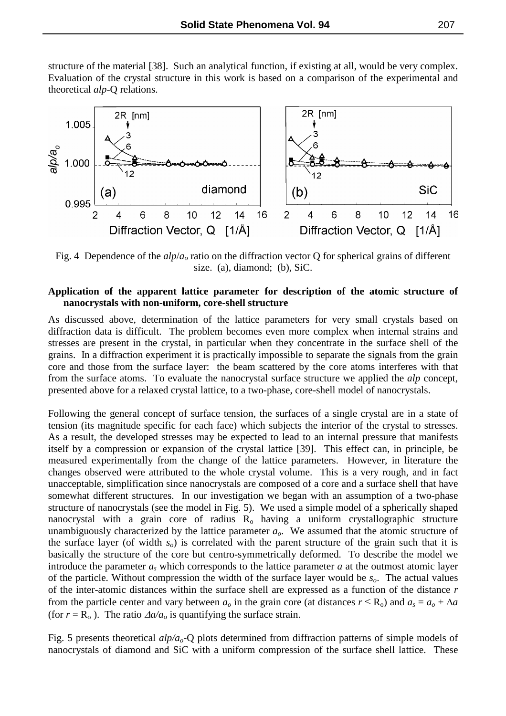structure of the material [38]. Such an analytical function, if existing at all, would be very complex. Evaluation of the crystal structure in this work is based on a comparison of the experimental and theoretical *alp*-Q relations.



Fig. 4 Dependence of the  $\frac{a}{a}$  ratio on the diffraction vector Q for spherical grains of different size. (a), diamond; (b), SiC.

## **Application of the apparent lattice parameter for description of the atomic structure of nanocrystals with non-uniform, core-shell structure**

As discussed above, determination of the lattice parameters for very small crystals based on diffraction data is difficult. The problem becomes even more complex when internal strains and stresses are present in the crystal, in particular when they concentrate in the surface shell of the grains. In a diffraction experiment it is practically impossible to separate the signals from the grain core and those from the surface layer: the beam scattered by the core atoms interferes with that from the surface atoms. To evaluate the nanocrystal surface structure we applied the *alp* concept, presented above for a relaxed crystal lattice, to a two-phase, core-shell model of nanocrystals.

Following the general concept of surface tension, the surfaces of a single crystal are in a state of tension (its magnitude specific for each face) which subjects the interior of the crystal to stresses. As a result, the developed stresses may be expected to lead to an internal pressure that manifests itself by a compression or expansion of the crystal lattice [39]. This effect can, in principle, be measured experimentally from the change of the lattice parameters. However, in literature the changes observed were attributed to the whole crystal volume. This is a very rough, and in fact unacceptable, simplification since nanocrystals are composed of a core and a surface shell that have somewhat different structures. In our investigation we began with an assumption of a two-phase structure of nanocrystals (see the model in Fig. 5). We used a simple model of a spherically shaped nanocrystal with a grain core of radius R<sub>o</sub> having a uniform crystallographic structure unambiguously characterized by the lattice parameter *ao*. We assumed that the atomic structure of the surface layer (of width *so*) is correlated with the parent structure of the grain such that it is basically the structure of the core but centro-symmetrically deformed. To describe the model we introduce the parameter  $a<sub>s</sub>$  which corresponds to the lattice parameter  $a$  at the outmost atomic layer of the particle. Without compression the width of the surface layer would be *so*. The actual values of the inter-atomic distances within the surface shell are expressed as a function of the distance *r* from the particle center and vary between  $a_o$  in the grain core (at distances  $r \le R_o$ ) and  $a_s = a_o + \Delta a$ (for  $r = R_0$ ). The ratio  $\Delta a/a_0$  is quantifying the surface strain.

Fig. 5 presents theoretical *alp/ao*-Q plots determined from diffraction patterns of simple models of nanocrystals of diamond and SiC with a uniform compression of the surface shell lattice. These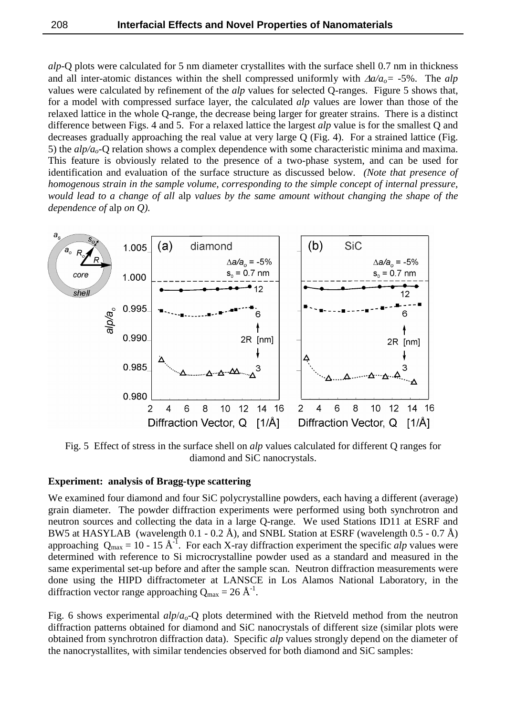*alp*-Q plots were calculated for 5 nm diameter crystallites with the surface shell 0.7 nm in thickness and all inter-atomic distances within the shell compressed uniformly with  $\Delta a/a<sub>o</sub> = -5%$ . The *alp* values were calculated by refinement of the *alp* values for selected Q-ranges. Figure 5 shows that, for a model with compressed surface layer, the calculated *alp* values are lower than those of the relaxed lattice in the whole Q-range, the decrease being larger for greater strains. There is a distinct difference between Figs. 4 and 5. For a relaxed lattice the largest *alp* value is for the smallest Q and decreases gradually approaching the real value at very large Q (Fig. 4). For a strained lattice (Fig. 5) the *alp/ao*-Q relation shows a complex dependence with some characteristic minima and maxima. This feature is obviously related to the presence of a two-phase system, and can be used for identification and evaluation of the surface structure as discussed below*. (Note that presence of homogenous strain in the sample volume, corresponding to the simple concept of internal pressure, would lead to a change of all* alp *values by the same amount without changing the shape of the dependence of* alp *on Q).* 



Fig. 5 Effect of stress in the surface shell on *alp* values calculated for different Q ranges for diamond and SiC nanocrystals.

## **Experiment: analysis of Bragg-type scattering**

We examined four diamond and four SiC polycrystalline powders, each having a different (average) grain diameter. The powder diffraction experiments were performed using both synchrotron and neutron sources and collecting the data in a large Q-range. We used Stations ID11 at ESRF and BW5 at HASYLAB (wavelength 0.1 - 0.2 Å), and SNBL Station at ESRF (wavelength 0.5 - 0.7 Å) approaching  $Q_{\text{max}} = 10 - 15 \text{ Å}^{-1}$ . For each X-ray diffraction experiment the specific *alp* values were determined with reference to Si microcrystalline powder used as a standard and measured in the same experimental set-up before and after the sample scan. Neutron diffraction measurements were done using the HIPD diffractometer at LANSCE in Los Alamos National Laboratory, in the diffraction vector range approaching  $Q_{max} = 26 \text{ Å}^{-1}$ .

Fig. 6 shows experimental *alp*/*ao*-Q plots determined with the Rietveld method from the neutron diffraction patterns obtained for diamond and SiC nanocrystals of different size (similar plots were obtained from synchrotron diffraction data). Specific *alp* values strongly depend on the diameter of the nanocrystallites, with similar tendencies observed for both diamond and SiC samples: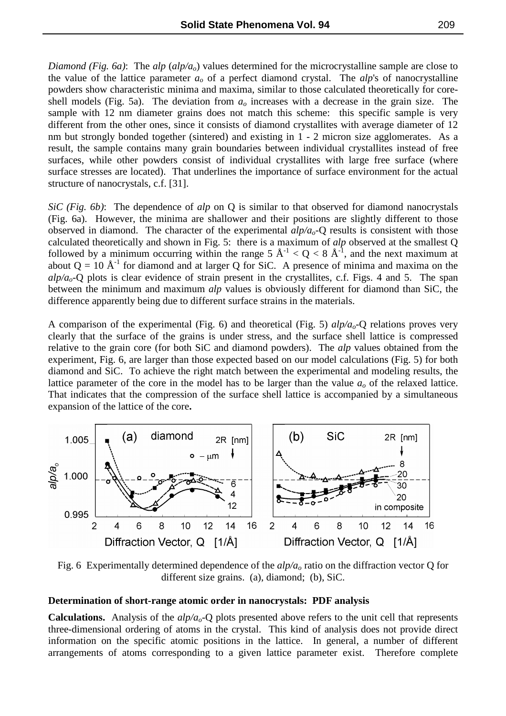*Diamond (Fig. 6a)*: The *alp* (*alp/ao*) values determined for the microcrystalline sample are close to the value of the lattice parameter *ao* of a perfect diamond crystal. The *alp*'s of nanocrystalline powders show characteristic minima and maxima, similar to those calculated theoretically for coreshell models (Fig. 5a). The deviation from *ao* increases with a decrease in the grain size. The sample with 12 nm diameter grains does not match this scheme: this specific sample is very different from the other ones, since it consists of diamond crystallites with average diameter of 12 nm but strongly bonded together (sintered) and existing in 1 - 2 micron size agglomerates. As a result, the sample contains many grain boundaries between individual crystallites instead of free surfaces, while other powders consist of individual crystallites with large free surface (where surface stresses are located). That underlines the importance of surface environment for the actual structure of nanocrystals, c.f. [31].

*SiC (Fig. 6b)*: The dependence of *alp* on Q is similar to that observed for diamond nanocrystals (Fig. 6a). However, the minima are shallower and their positions are slightly different to those observed in diamond. The character of the experimental *alp/ao*-Q results is consistent with those calculated theoretically and shown in Fig. 5: there is a maximum of *alp* observed at the smallest Q followed by a minimum occurring within the range  $5 \text{ Å}^{-1} < Q < 8 \text{ Å}^{-1}$ , and the next maximum at about  $Q = 10 \text{ Å}^{-1}$  for diamond and at larger Q for SiC. A presence of minima and maxima on the  $a/p/a<sub>o</sub>$ -Q plots is clear evidence of strain present in the crystallites, c.f. Figs. 4 and 5. The span between the minimum and maximum *alp* values is obviously different for diamond than SiC, the difference apparently being due to different surface strains in the materials.

A comparison of the experimental (Fig. 6) and theoretical (Fig. 5)  $a\frac{dv}{a_0}$ -O relations proves very clearly that the surface of the grains is under stress, and the surface shell lattice is compressed relative to the grain core (for both SiC and diamond powders). The *alp* values obtained from the experiment, Fig. 6, are larger than those expected based on our model calculations (Fig. 5) for both diamond and SiC. To achieve the right match between the experimental and modeling results, the lattice parameter of the core in the model has to be larger than the value *ao* of the relaxed lattice. That indicates that the compression of the surface shell lattice is accompanied by a simultaneous expansion of the lattice of the core**.** 



Fig. 6 Experimentally determined dependence of the  $a/p/a<sub>o</sub>$  ratio on the diffraction vector Q for different size grains. (a), diamond; (b), SiC.

#### **Determination of short-range atomic order in nanocrystals: PDF analysis**

**Calculations.** Analysis of the *alp/ao*-Q plots presented above refers to the unit cell that represents three-dimensional ordering of atoms in the crystal. This kind of analysis does not provide direct information on the specific atomic positions in the lattice. In general, a number of different arrangements of atoms corresponding to a given lattice parameter exist. Therefore complete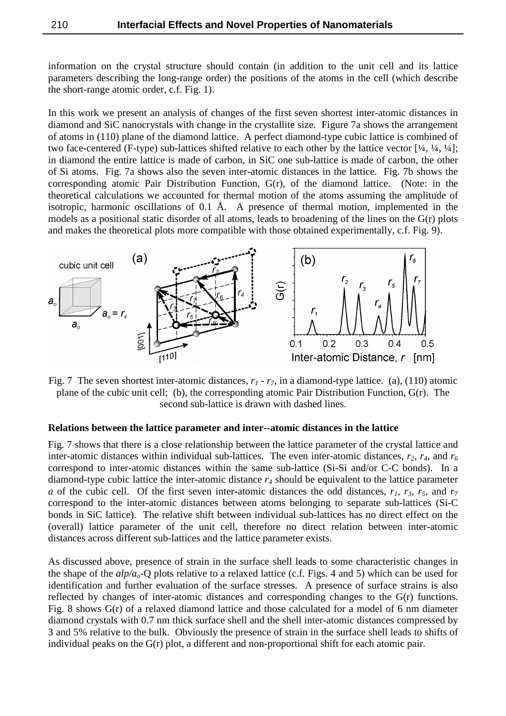information on the crystal structure should contain (in addition to the unit cell and its lattice parameters describing the long-range order) the positions of the atoms in the cell (which describe the short-range atomic order, c.f. Fig. 1).

In this work we present an analysis of changes of the first seven shortest inter-atomic distances in diamond and SiC nanocrystals with change in the crystallite size. Figure 7a shows the arrangement of atoms in (110) plane of the diamond lattice. A perfect diamond-type cubic lattice is combined of two face-centered (F-type) sub-lattices shifted relative to each other by the lattice vector [¼, ¼, ¼]; in diamond the entire lattice is made of carbon, in SiC one sub-lattice is made of carbon, the other of Si atoms. Fig. 7a shows also the seven inter-atomic distances in the lattice. Fig. 7b shows the corresponding atomic Pair Distribution Function, G(r), of the diamond lattice. (Note: in the theoretical calculations we accounted for thermal motion of the atoms assuming the amplitude of isotropic, harmonic oscillations of 0.1 Å. A presence of thermal motion, implemented in the models as a positional static disorder of all atoms, leads to broadening of the lines on the G(r) plots and makes the theoretical plots more compatible with those obtained experimentally, c.f. Fig. 9).



Fig. 7 The seven shortest inter-atomic distances, *r1 - r7*, in a diamond-type lattice. (a), (110) atomic plane of the cubic unit cell; (b), the corresponding atomic Pair Distribution Function, G(r). The second sub-lattice is drawn with dashed lines.

## **Relations between the lattice parameter and inter--atomic distances in the lattice**

Fig. 7 shows that there is a close relationship between the lattice parameter of the crystal lattice and inter-atomic distances within individual sub-lattices. The even inter-atomic distances, *r2, r4,* and *r<sup>6</sup>* correspond to inter-atomic distances within the same sub-lattice (Si-Si and/or C-C bonds). In a diamond-type cubic lattice the inter-atomic distance *r4* should be equivalent to the lattice parameter *a* of the cubic cell. Of the first seven inter-atomic distances the odd distances, *r1, r3, r5,* and *r<sup>7</sup>* correspond to the inter-atomic distances between atoms belonging to separate sub-lattices (Si-C bonds in SiC lattice). The relative shift between individual sub-lattices has no direct effect on the (overall) lattice parameter of the unit cell, therefore no direct relation between inter-atomic distances across different sub-lattices and the lattice parameter exists.

As discussed above, presence of strain in the surface shell leads to some characteristic changes in the shape of the *alp/ao*-Q plots relative to a relaxed lattice (c.f. Figs. 4 and 5) which can be used for identification and further evaluation of the surface stresses. A presence of surface strains is also reflected by changes of inter-atomic distances and corresponding changes to the G(r) functions. Fig. 8 shows G(r) of a relaxed diamond lattice and those calculated for a model of 6 nm diameter diamond crystals with 0.7 nm thick surface shell and the shell inter-atomic distances compressed by 3 and 5% relative to the bulk. Obviously the presence of strain in the surface shell leads to shifts of individual peaks on the G(r) plot, a different and non-proportional shift for each atomic pair.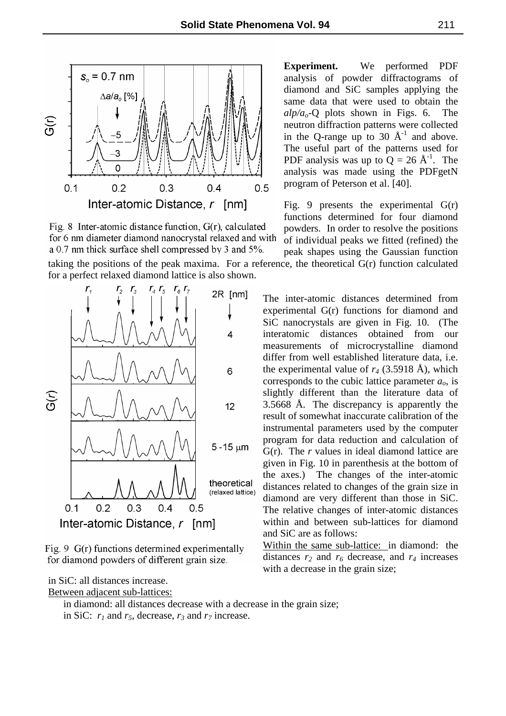

Fig. 8 Inter-atomic distance function,  $G(r)$ , calculated for 6 nm diameter diamond nanocrystal relaxed and with a 0.7 nm thick surface shell compressed by 3 and 5%.

taking the positions of the peak maxima. For a reference, the theoretical G(r) function calculated for a perfect relaxed diamond lattice is also shown.



Fig. 9  $G(r)$  functions determined experimentally for diamond powders of different grain size.

in SiC: all distances increase.

Between adjacent sub-lattices:

**Experiment.** We performed PDF analysis of powder diffractograms of diamond and SiC samples applying the same data that were used to obtain the  $alp/a<sub>o</sub>$ -Q plots shown in Figs. 6. The neutron diffraction patterns were collected in the O-range up to 30  $\AA$ <sup>-1</sup> and above. The useful part of the patterns used for PDF analysis was up to  $Q = 26 \text{ Å}^{-1}$ . The analysis was made using the PDFgetN program of Peterson et al. [40].

Fig. 9 presents the experimental G(r) functions determined for four diamond powders. In order to resolve the positions of individual peaks we fitted (refined) the peak shapes using the Gaussian function

The inter-atomic distances determined from experimental G(r) functions for diamond and SiC nanocrystals are given in Fig. 10. (The interatomic distances obtained from our measurements of microcrystalline diamond differ from well established literature data, i.e. the experimental value of  $r_4$  (3.5918 Å), which corresponds to the cubic lattice parameter  $a<sub>o</sub>$ , is slightly different than the literature data of 3.5668 Å. The discrepancy is apparently the result of somewhat inaccurate calibration of the instrumental parameters used by the computer program for data reduction and calculation of G(r). The *r* values in ideal diamond lattice are given in Fig. 10 in parenthesis at the bottom of the axes.) The changes of the inter-atomic distances related to changes of the grain size in diamond are very different than those in SiC. The relative changes of inter-atomic distances within and between sub-lattices for diamond and SiC are as follows:

Within the same sub-lattice: in diamond: the distances  $r_2$  and  $r_6$  decrease, and  $r_4$  increases with a decrease in the grain size;

in diamond: all distances decrease with a decrease in the grain size; in SiC:  $r_1$  and  $r_5$ , decrease,  $r_3$  and  $r_7$  increase.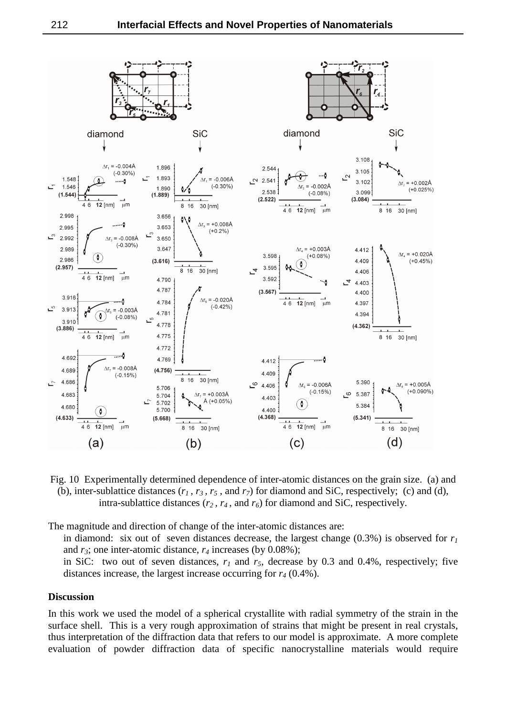

Fig. 10 Experimentally determined dependence of inter-atomic distances on the grain size. (a) and (b), inter-sublattice distances  $(r_1, r_3, r_5,$  and  $r_7$ ) for diamond and SiC, respectively; (c) and (d), intra-sublattice distances  $(r_2, r_4, \text{ and } r_6)$  for diamond and SiC, respectively.

The magnitude and direction of change of the inter-atomic distances are:

in diamond: six out of seven distances decrease, the largest change  $(0.3\%)$  is observed for  $r<sub>1</sub>$ and *r3*; one inter-atomic distance, *r4* increases (by 0.08%);

in SiC: two out of seven distances,  $r_1$  and  $r_5$ , decrease by 0.3 and 0.4%, respectively; five distances increase, the largest increase occurring for *r4* (0.4%).

### **Discussion**

In this work we used the model of a spherical crystallite with radial symmetry of the strain in the surface shell. This is a very rough approximation of strains that might be present in real crystals, thus interpretation of the diffraction data that refers to our model is approximate. A more complete evaluation of powder diffraction data of specific nanocrystalline materials would require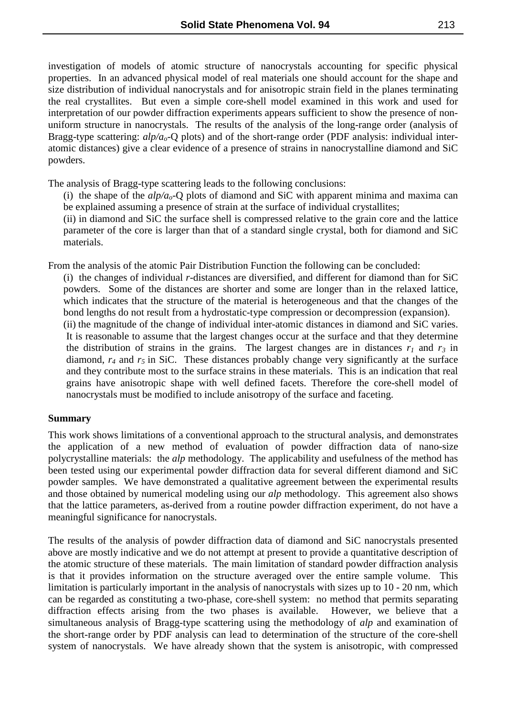investigation of models of atomic structure of nanocrystals accounting for specific physical properties. In an advanced physical model of real materials one should account for the shape and size distribution of individual nanocrystals and for anisotropic strain field in the planes terminating the real crystallites. But even a simple core-shell model examined in this work and used for interpretation of our powder diffraction experiments appears sufficient to show the presence of nonuniform structure in nanocrystals. The results of the analysis of the long-range order (analysis of Bragg-type scattering: *alp/a<sub>o</sub>*-Q plots) and of the short-range order (PDF analysis: individual interatomic distances) give a clear evidence of a presence of strains in nanocrystalline diamond and SiC powders.

The analysis of Bragg-type scattering leads to the following conclusions:

(i) the shape of the *alp/ao*-Q plots of diamond and SiC with apparent minima and maxima can be explained assuming a presence of strain at the surface of individual crystallites;

(ii) in diamond and SiC the surface shell is compressed relative to the grain core and the lattice parameter of the core is larger than that of a standard single crystal, both for diamond and SiC materials.

From the analysis of the atomic Pair Distribution Function the following can be concluded:

(i) the changes of individual *r*-distances are diversified, and different for diamond than for SiC powders. Some of the distances are shorter and some are longer than in the relaxed lattice, which indicates that the structure of the material is heterogeneous and that the changes of the bond lengths do not result from a hydrostatic-type compression or decompression (expansion).

(ii) the magnitude of the change of individual inter-atomic distances in diamond and SiC varies. It is reasonable to assume that the largest changes occur at the surface and that they determine the distribution of strains in the grains. The largest changes are in distances  $r<sub>1</sub>$  and  $r<sub>3</sub>$  in diamond,  $r_4$  and  $r_5$  in SiC. These distances probably change very significantly at the surface and they contribute most to the surface strains in these materials. This is an indication that real grains have anisotropic shape with well defined facets. Therefore the core-shell model of nanocrystals must be modified to include anisotropy of the surface and faceting.

### **Summary**

This work shows limitations of a conventional approach to the structural analysis, and demonstrates the application of a new method of evaluation of powder diffraction data of nano-size polycrystalline materials: the *alp* methodology. The applicability and usefulness of the method has been tested using our experimental powder diffraction data for several different diamond and SiC powder samples. We have demonstrated a qualitative agreement between the experimental results and those obtained by numerical modeling using our *alp* methodology. This agreement also shows that the lattice parameters, as-derived from a routine powder diffraction experiment, do not have a meaningful significance for nanocrystals.

The results of the analysis of powder diffraction data of diamond and SiC nanocrystals presented above are mostly indicative and we do not attempt at present to provide a quantitative description of the atomic structure of these materials. The main limitation of standard powder diffraction analysis is that it provides information on the structure averaged over the entire sample volume. This limitation is particularly important in the analysis of nanocrystals with sizes up to 10 - 20 nm, which can be regarded as constituting a two-phase, core-shell system: no method that permits separating diffraction effects arising from the two phases is available. However, we believe that a simultaneous analysis of Bragg-type scattering using the methodology of *alp* and examination of the short-range order by PDF analysis can lead to determination of the structure of the core-shell system of nanocrystals. We have already shown that the system is anisotropic, with compressed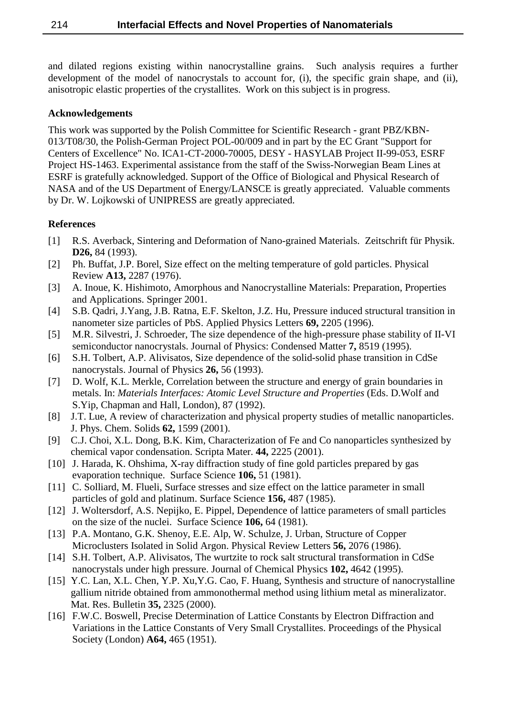and dilated regions existing within nanocrystalline grains. Such analysis requires a further development of the model of nanocrystals to account for, (i), the specific grain shape, and (ii), anisotropic elastic properties of the crystallites. Work on this subject is in progress.

## **Acknowledgements**

This work was supported by the Polish Committee for Scientific Research - grant PBZ/KBN-013/T08/30, the Polish-German Project POL-00/009 and in part by the EC Grant "Support for Centers of Excellence" No. ICA1-CT-2000-70005, DESY - HASYLAB Project II-99-053, ESRF Project HS-1463. Experimental assistance from the staff of the Swiss-Norwegian Beam Lines at ESRF is gratefully acknowledged. Support of the Office of Biological and Physical Research of NASA and of the US Department of Energy/LANSCE is greatly appreciated. Valuable comments by Dr. W. Lojkowski of UNIPRESS are greatly appreciated.

## **References**

- [1] R.S. Averback, Sintering and Deformation of Nano-grained Materials. Zeitschrift für Physik. **D26,** 84 (1993).
- [2] Ph. Buffat, J.P. Borel, Size effect on the melting temperature of gold particles. Physical Review **A13,** 2287 (1976).
- [3] A. Inoue, K. Hishimoto, Amorphous and Nanocrystalline Materials: Preparation, Properties and Applications. Springer 2001.
- [4] S.B. Qadri, J.Yang, J.B. Ratna, E.F. Skelton, J.Z. Hu, Pressure induced structural transition in nanometer size particles of PbS. Applied Physics Letters **69,** 2205 (1996).
- [5] M.R. Silvestri, J. Schroeder, The size dependence of the high-pressure phase stability of II-VI semiconductor nanocrystals. Journal of Physics: Condensed Matter **7,** 8519 (1995).
- [6] S.H. Tolbert, A.P. Alivisatos, Size dependence of the solid-solid phase transition in CdSe nanocrystals. Journal of Physics **26,** 56 (1993).
- [7] D. Wolf, K.L. Merkle, Correlation between the structure and energy of grain boundaries in metals. In: *Materials Interfaces: Atomic Level Structure and Properties* (Eds. D.Wolf and S.Yip, Chapman and Hall, London), 87 (1992).
- [8] J.T. Lue, A review of characterization and physical property studies of metallic nanoparticles. J. Phys. Chem. Solids **62,** 1599 (2001).
- [9] C.J. Choi, X.L. Dong, B.K. Kim, Characterization of Fe and Co nanoparticles synthesized by chemical vapor condensation. Scripta Mater. **44,** 2225 (2001).
- [10] J. Harada, K. Ohshima, X-ray diffraction study of fine gold particles prepared by gas evaporation technique. Surface Science **106,** 51 (1981).
- [11] C. Solliard, M. Flueli, Surface stresses and size effect on the lattice parameter in small particles of gold and platinum. Surface Science **156,** 487 (1985).
- [12] J. Woltersdorf, A.S. Nepijko, E. Pippel, Dependence of lattice parameters of small particles on the size of the nuclei. Surface Science **106,** 64 (1981).
- [13] P.A. Montano, G.K. Shenoy, E.E. Alp, W. Schulze, J. Urban, Structure of Copper Microclusters Isolated in Solid Argon. Physical Review Letters **56,** 2076 (1986).
- [14] S.H. Tolbert, A.P. Alivisatos, The wurtzite to rock salt structural transformation in CdSe nanocrystals under high pressure. Journal of Chemical Physics **102,** 4642 (1995).
- [15] Y.C. Lan, X.L. Chen, Y.P. Xu, Y.G. Cao, F. Huang, Synthesis and structure of nanocrystalline gallium nitride obtained from ammonothermal method using lithium metal as mineralizator. Mat. Res. Bulletin **35,** 2325 (2000).
- [16] F.W.C. Boswell, Precise Determination of Lattice Constants by Electron Diffraction and Variations in the Lattice Constants of Very Small Crystallites. Proceedings of the Physical Society (London) **A64,** 465 (1951).